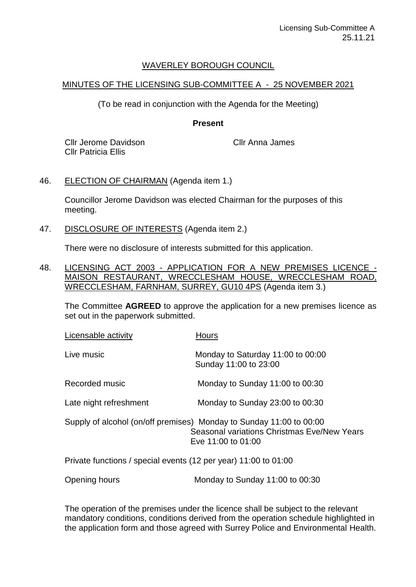## WAVERLEY BOROUGH COUNCIL

## MINUTES OF THE LICENSING SUB-COMMITTEE A - 25 NOVEMBER 2021

(To be read in conjunction with the Agenda for the Meeting)

## **Present**

Cllr Jerome Davidson Cllr Patricia Ellis

Cllr Anna James

## 46. ELECTION OF CHAIRMAN (Agenda item 1.)

Councillor Jerome Davidson was elected Chairman for the purposes of this meeting.

47. DISCLOSURE OF INTERESTS (Agenda item 2.)

There were no disclosure of interests submitted for this application.

48. LICENSING ACT 2003 - APPLICATION FOR A NEW PREMISES LICENCE - MAISON RESTAURANT, WRECCLESHAM HOUSE, WRECCLESHAM ROAD, WRECCLESHAM, FARNHAM, SURREY, GU10 4PS (Agenda item 3.)

The Committee **AGREED** to approve the application for a new premises licence as set out in the paperwork submitted.

| Licensable activity                                             | <b>Hours</b>                                                                                                                             |
|-----------------------------------------------------------------|------------------------------------------------------------------------------------------------------------------------------------------|
| Live music                                                      | Monday to Saturday 11:00 to 00:00<br>Sunday 11:00 to 23:00                                                                               |
| Recorded music                                                  | Monday to Sunday 11:00 to 00:30                                                                                                          |
| Late night refreshment                                          | Monday to Sunday 23:00 to 00:30                                                                                                          |
|                                                                 | Supply of alcohol (on/off premises) Monday to Sunday 11:00 to 00:00<br>Seasonal variations Christmas Eve/New Years<br>Eve 11:00 to 01:00 |
| Private functions / special events (12 per year) 11:00 to 01:00 |                                                                                                                                          |
| Opening hours                                                   | Monday to Sunday 11:00 to 00:30                                                                                                          |

The operation of the premises under the licence shall be subject to the relevant mandatory conditions, conditions derived from the operation schedule highlighted in the application form and those agreed with Surrey Police and Environmental Health.